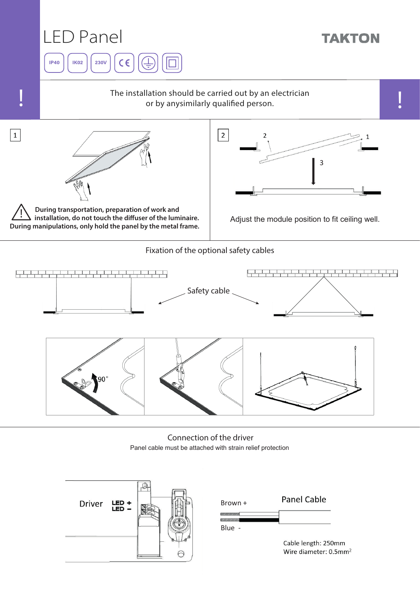

Panel cable must be attached with strain relief protection Connection of the driver